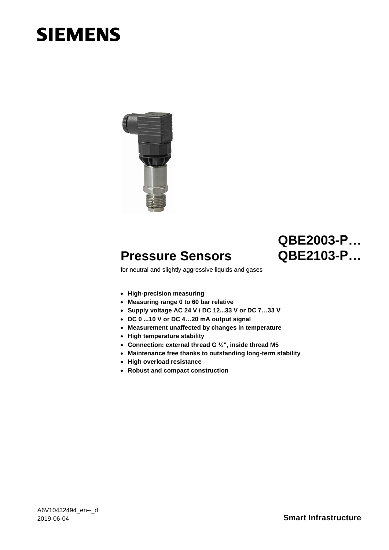# **SIEMENS**



## **QBE2003-P… QBE2103-P…**

### for neutral and slightly aggressive liquids and gases

- **High-precision measuring**
- **Measuring range 0 to 60 bar relative**

**Pressure Sensors**

- **Supply voltage AC 24 V / DC 12...33 V or DC 7…33 V**
- **DC 0 ...10 V or DC 4…20 mA output signal**
- **Measurement unaffected by changes in temperature**
- **High temperature stability**
- **Connection: external thread G ½", inside thread M5**
- **Maintenance free thanks to outstanding long-term stability**
- **High overload resistance**
-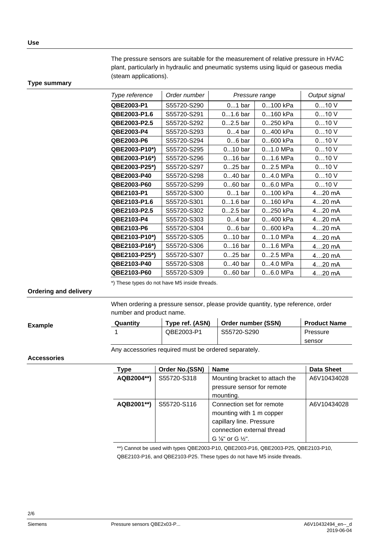The pressure sensors are suitable for the measurement of relative pressure in HVAC plant, particularly in hydraulic and pneumatic systems using liquid or gaseous media (steam applications).

#### **Type summary**

| Type reference | Order number | Pressure range |            | Output signal |
|----------------|--------------|----------------|------------|---------------|
| QBE2003-P1     | S55720-S290  | $01$ bar       | 0100 kPa   | 010V          |
| QBE2003-P1.6   | S55720-S291  | $01.6$ bar     | 0160 kPa   | 010V          |
| QBE2003-P2.5   | S55720-S292  | $02.5$ bar     | 0250 kPa   | 010V          |
| QBE2003-P4     | S55720-S293  | $04$ bar       | 0400 kPa   | 010V          |
| QBE2003-P6     | S55720-S294  | $06$ bar       | 0600 kPa   | 010V          |
| QBE2003-P10*)  | S55720-S295  | $010$ bar      | $01.0$ MPa | 010V          |
| QBE2003-P16*)  | S55720-S296  | $016$ bar      | $01.6$ MPa | 010V          |
| QBE2003-P25*)  | S55720-S297  | $025$ bar      | $02.5$ MPa | 010V          |
| QBE2003-P40    | S55720-S298  | $040$ bar      | $04.0$ MPa | 010V          |
| QBE2003-P60    | S55720-S299  | $060$ bar      | 06.0 MPa   | 010V          |
| QBE2103-P1     | S55720-S300  | $01$ bar       | 0100 kPa   | $420$ mA      |
| QBE2103-P1.6   | S55720-S301  | $01.6$ bar     | 0160 kPa   | $420$ mA      |
| QBE2103-P2.5   | S55720-S302  | $02.5$ bar     | 0250 kPa   | $420$ mA      |
| QBE2103-P4     | S55720-S303  | $04$ bar       | 0400 kPa   | $420$ mA      |
| QBE2103-P6     | S55720-S304  | $06$ bar       | 0600 kPa   | $420$ mA      |
| QBE2103-P10*)  | S55720-S305  | $010$ bar      | $01.0$ MPa | $420$ mA      |
| QBE2103-P16*)  | S55720-S306  | $016$ bar      | $01.6$ MPa | $420$ mA      |
| QBE2103-P25*)  | S55720-S307  | $025$ bar      | $02.5$ MPa | $420$ mA      |
| QBE2103-P40    | S55720-S308  | $040$ bar      | $04.0$ MPa | $420$ mA      |
| QBE2103-P60    | S55720-S309  | $060$ bar      | $06.0$ MPa | $420$ mA      |

\*) These types do not have M5 inside threads.

#### **Ordering and delivery**

When ordering a pressure sensor, please provide quantity, type reference, order number and product name.

| <b>Example</b> | Quantitv | Type ref. (ASN) | Order number (SSN) | <b>Product Name</b> |
|----------------|----------|-----------------|--------------------|---------------------|
|                |          | QBE2003-P1      | S55720-S290        | Pressure            |
|                |          |                 |                    | sensor              |

Any accessories required must be ordered separately.

#### **Accessories**

| <b>Type</b> | Order No.(SSN) | <b>Name</b>                                                                                                                                                | <b>Data Sheet</b> |
|-------------|----------------|------------------------------------------------------------------------------------------------------------------------------------------------------------|-------------------|
| AQB2004**)  | S55720-S318    | Mounting bracket to attach the<br>pressure sensor for remote<br>mounting.                                                                                  | A6V10434028       |
| AQB2001**)  | S55720-S116    | Connection set for remote<br>mounting with 1 m copper<br>capillary line. Pressure<br>connection external thread<br>G $\frac{1}{8}$ " or G $\frac{1}{2}$ ". | A6V10434028       |

\*\*) Cannot be used with types QBE2003-P10, QBE2003-P16, QBE2003-P25, QBE2103-P10,

QBE2103-P16, and QBE2103-P25. These types do not have M5 inside threads.

L,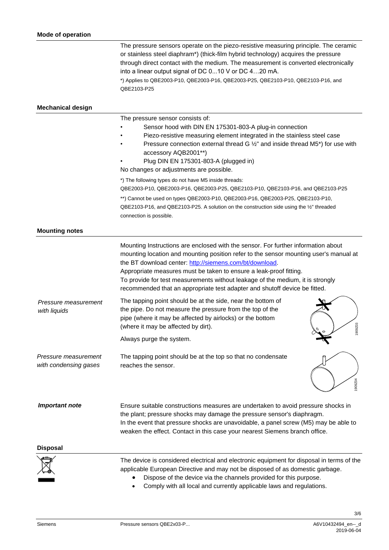|                                               | The pressure sensors operate on the piezo-resistive measuring principle. The ceramic<br>or stainless steel diaphram*) (thick-film hybrid technology) acquires the pressure<br>through direct contact with the medium. The measurement is converted electronically<br>into a linear output signal of DC 010 V or DC 420 mA.<br>*) Applies to QBE2003-P10, QBE2003-P16, QBE2003-P25, QBE2103-P10, QBE2103-P16, and<br>QBE2103-P25                                             |
|-----------------------------------------------|-----------------------------------------------------------------------------------------------------------------------------------------------------------------------------------------------------------------------------------------------------------------------------------------------------------------------------------------------------------------------------------------------------------------------------------------------------------------------------|
| <b>Mechanical design</b>                      |                                                                                                                                                                                                                                                                                                                                                                                                                                                                             |
|                                               | The pressure sensor consists of:<br>Sensor hood with DIN EN 175301-803-A plug-in connection<br>Piezo-resistive measuring element integrated in the stainless steel case<br>Pressure connection external thread G 1/2" and inside thread M5*) for use with<br>accessory AQB2001**)<br>Plug DIN EN 175301-803-A (plugged in)<br>No changes or adjustments are possible.                                                                                                       |
|                                               | *) The following types do not have M5 inside threads:<br>QBE2003-P10, QBE2003-P16, QBE2003-P25, QBE2103-P10, QBE2103-P16, and QBE2103-P25<br>**) Cannot be used on types QBE2003-P10, QBE2003-P16, QBE2003-P25, QBE2103-P10,<br>QBE2103-P16, and QBE2103-P25. A solution on the construction side using the 1/2" threaded<br>connection is possible.                                                                                                                        |
| <b>Mounting notes</b>                         |                                                                                                                                                                                                                                                                                                                                                                                                                                                                             |
|                                               | Mounting Instructions are enclosed with the sensor. For further information about<br>mounting location and mounting position refer to the sensor mounting user's manual at<br>the BT download center: http://siemens.com/bt/download.<br>Appropriate measures must be taken to ensure a leak-proof fitting.<br>To provide for test measurements without leakage of the medium, it is strongly<br>recommended that an appropriate test adapter and shutoff device be fitted. |
| Pressure measurement<br>with liquids          | The tapping point should be at the side, near the bottom of<br>the pipe. Do not measure the pressure from the top of the<br>pipe (where it may be affected by airlocks) or the bottom<br>1909Z03<br>(where it may be affected by dirt).                                                                                                                                                                                                                                     |
|                                               | Always purge the system.                                                                                                                                                                                                                                                                                                                                                                                                                                                    |
| Pressure measurement<br>with condensing gases | The tapping point should be at the top so that no condensate<br>reaches the sensor.<br>1909Z04                                                                                                                                                                                                                                                                                                                                                                              |
| <b>Important note</b>                         | Ensure suitable constructions measures are undertaken to avoid pressure shocks in<br>the plant; pressure shocks may damage the pressure sensor's diaphragm.<br>In the event that pressure shocks are unavoidable, a panel screw (M5) may be able to<br>weaken the effect. Contact in this case your nearest Siemens branch office.                                                                                                                                          |
| <b>Disposal</b>                               |                                                                                                                                                                                                                                                                                                                                                                                                                                                                             |
|                                               | The device is considered electrical and electronic equipment for disposal in terms of the<br>applicable European Directive and may not be disposed of as domestic garbage.<br>Dispose of the device via the channels provided for this purpose.<br>Comply with all local and currently applicable laws and regulations.                                                                                                                                                     |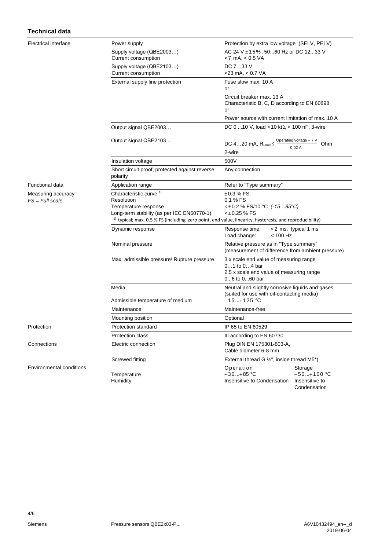| <b>Technical data</b>                   |                                                                                                                                                                                                                                   |                                                                                                                      |  |
|-----------------------------------------|-----------------------------------------------------------------------------------------------------------------------------------------------------------------------------------------------------------------------------------|----------------------------------------------------------------------------------------------------------------------|--|
| Electrical interface                    | Power supply<br>Supply voltage (QBE2003)<br>Current consumption                                                                                                                                                                   | Protection by extra low voltage (SELV, PELV)<br>AC 24 V ±15%, 5060 Hz or DC 1233 V<br><7 mA, < 0.5 VA                |  |
|                                         | Supply voltage (QBE2103)<br>Current consumption                                                                                                                                                                                   | DC 733 V<br>$<$ 23 mA, $<$ 0.7 VA                                                                                    |  |
|                                         | External supply line protection                                                                                                                                                                                                   | Fuse slow max. 10 A<br>or                                                                                            |  |
|                                         |                                                                                                                                                                                                                                   | Circuit breaker max. 13 A<br>Characteristic B, C, D according to EN 60898<br>or                                      |  |
|                                         |                                                                                                                                                                                                                                   | Power source with current limitation of max. 10 A                                                                    |  |
|                                         | Output signal QBE2003                                                                                                                                                                                                             | DC 0  10 V, load > 10 k $\Omega$ , < 100 nF, 3-wire                                                                  |  |
|                                         | Output signal QBE2103                                                                                                                                                                                                             | DC 420 mA, $R_{Load} \leq \frac{Operating \ voltage - 7 \ V}{T}$<br>Ohm<br>0.02A<br>2-wire                           |  |
|                                         | Insulation voltage                                                                                                                                                                                                                | 500V                                                                                                                 |  |
|                                         | Short circuit proof, protected against reverse<br>polarity                                                                                                                                                                        | Any connection                                                                                                       |  |
| <b>Functional data</b>                  | Application range                                                                                                                                                                                                                 | Refer to "Type summary"                                                                                              |  |
| Measuring accuracy<br>$FS = Full scale$ | Characteristic curve 1)<br>Resolution<br>Temperature response<br>Long-term stability (as per IEC EN60770-1)<br><sup>1)</sup> typical; max. 0.5 % FS (including zero point, end value, linearity, hysteresis, and reproducibility) | $±0.3%$ FS<br>0.1 % FS<br><±0.2 % FS/10 °C (-1585 °C)<br><±0.25 % FS                                                 |  |
|                                         | Dynamic response                                                                                                                                                                                                                  | Response time:<br><2 ms, typical 1 ms<br>$< 100$ Hz<br>Load change:                                                  |  |
|                                         | Nominal pressure                                                                                                                                                                                                                  | Relative pressure as in "Type summary"<br>(measurement of difference from ambient pressure)                          |  |
|                                         | Max. admissible pressure/ Rupture pressure                                                                                                                                                                                        | 3 x scale end value of measuring range<br>01 to 04 bar<br>2.5 x scale end value of measuring range<br>06 to 060 bar  |  |
|                                         | Media                                                                                                                                                                                                                             | Neutral and slightly corrosive liquids and gases<br>(suited for use with oil-contacting media)                       |  |
|                                         | Admissible temperature of medium<br>Maintenance                                                                                                                                                                                   | $-15+125$ °C                                                                                                         |  |
|                                         | Mounting position                                                                                                                                                                                                                 | Maintenance-free<br>Optional                                                                                         |  |
| Protection                              | Protection standard                                                                                                                                                                                                               | IP 65 to EN 60529                                                                                                    |  |
|                                         | Protection class                                                                                                                                                                                                                  | III according to EN 60730                                                                                            |  |
| Connections                             | Electric connection                                                                                                                                                                                                               | Plug DIN EN 175301-803-A,<br>Cable diameter 6-8 mm                                                                   |  |
|                                         | Screwed fitting                                                                                                                                                                                                                   | External thread G $\frac{1}{2}$ ", inside thread M5*)                                                                |  |
| <b>Environmental conditions</b>         | Temperature<br>Humidity                                                                                                                                                                                                           | Operation<br>Storage<br>$-30+85$ °C<br>$-50+100$ °C<br>Insensitive to Condensation<br>Insensitive to<br>Condensation |  |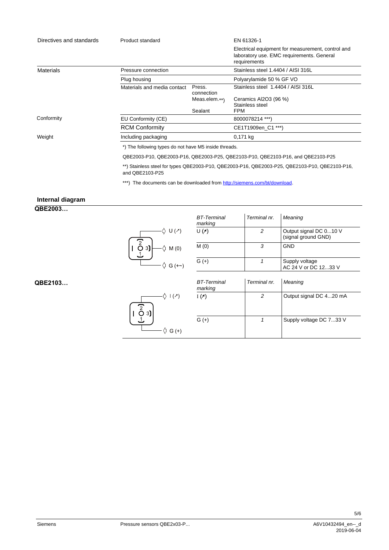| Directives and standards | Product standard                                                                 |                      | EN 61326-1                                                                                                     |  |
|--------------------------|----------------------------------------------------------------------------------|----------------------|----------------------------------------------------------------------------------------------------------------|--|
|                          |                                                                                  |                      | Electrical equipment for measurement, control and<br>laboratory use. EMC requirements. General<br>requirements |  |
| Materials                | Pressure connection                                                              |                      | Stainless steel 1.4404 / AISI 316L                                                                             |  |
|                          | Plug housing                                                                     |                      | Polyarylamide 50 % GF VO                                                                                       |  |
|                          | Materials and media contact                                                      | Press.<br>connection | Stainless steel 1.4404 / AISI 316L                                                                             |  |
|                          |                                                                                  | Meas.elem.**)        | Ceramics Al2O3 (96 %)                                                                                          |  |
|                          |                                                                                  |                      | Stainless steel                                                                                                |  |
|                          |                                                                                  | Sealant              | FPM                                                                                                            |  |
| Conformity               | EU Conformity (CE)                                                               |                      | 8000078214 ***)                                                                                                |  |
|                          | <b>RCM Conformity</b>                                                            |                      | CE1T1909en C1 ***)                                                                                             |  |
| Weight                   | Including packaging                                                              |                      | 0,171 kg                                                                                                       |  |
|                          | *) The following types do not have M5 inside threads.                            |                      |                                                                                                                |  |
|                          | QBE2003-P10, QBE2003-P16, QBE2003-P25, QBE2103-P10, QBE2103-P16, and QBE2103-P25 |                      |                                                                                                                |  |

\*\*) Stainless steel for types QBE2003-P10, QBE2003-P16, QBE2003-P25, QBE2103-P10, QBE2103-P16, and QBE2103-P25

\*\*\*) The documents can be downloaded from [http://siemens.com/bt/download.](http://siemens.com/bt/download)

### **Internal diagram**

**QBE2003…**



| BT-Terminal<br>marking | Terminal nr. | Meaning                                       |
|------------------------|--------------|-----------------------------------------------|
| $U(\Lambda)$           |              | Output signal DC 010 V<br>(signal ground GND) |
| M(0)                   |              | <b>GND</b>                                    |
| $G (+)$                |              | Supply voltage<br>AC 24 V or DC 1233 V        |

|                      | $\mathsf{I}(\mathscr{E})$ |
|----------------------|---------------------------|
| $\overline{2}$<br>3) |                           |
|                      | G(t)                      |

| <b>BT-Terminal</b><br>marking | Terminal nr. | Meaning                 |
|-------------------------------|--------------|-------------------------|
| $I(\lambda)$                  | 2            | Output signal DC 420 mA |
| G (+)                         |              | Supply voltage DC 733 V |

**QBE2103…**